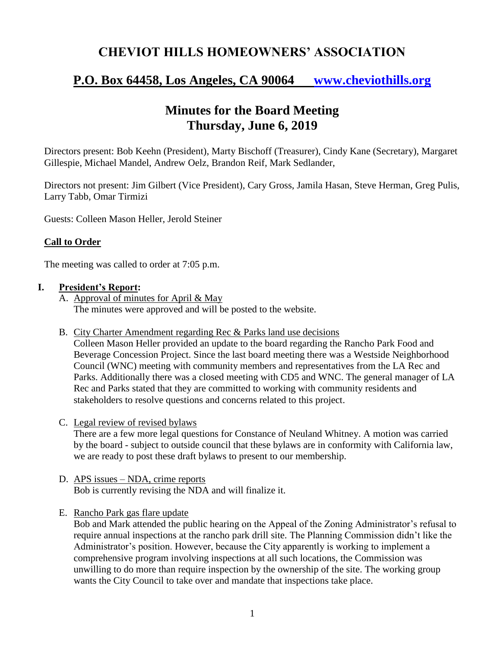## **CHEVIOT HILLS HOMEOWNERS' ASSOCIATION**

# **P.O. Box 64458, Los Angeles, CA 90064 [www.cheviothills.org](http://www.cheviothills.org/)**

## **Minutes for the Board Meeting Thursday, June 6, 2019**

Directors present: Bob Keehn (President), Marty Bischoff (Treasurer), Cindy Kane (Secretary), Margaret Gillespie, Michael Mandel, Andrew Oelz, Brandon Reif, Mark Sedlander,

Directors not present: Jim Gilbert (Vice President), Cary Gross, Jamila Hasan, Steve Herman, Greg Pulis, Larry Tabb, Omar Tirmizi

Guests: Colleen Mason Heller, Jerold Steiner

### **Call to Order**

The meeting was called to order at 7:05 p.m.

#### **I. President's Report:**

- A. Approval of minutes for April & May The minutes were approved and will be posted to the website.
- B. City Charter Amendment regarding Rec & Parks land use decisions

Colleen Mason Heller provided an update to the board regarding the Rancho Park Food and Beverage Concession Project. Since the last board meeting there was a Westside Neighborhood Council (WNC) meeting with community members and representatives from the LA Rec and Parks. Additionally there was a closed meeting with CD5 and WNC. The general manager of LA Rec and Parks stated that they are committed to working with community residents and stakeholders to resolve questions and concerns related to this project.

C. Legal review of revised bylaws

There are a few more legal questions for Constance of Neuland Whitney. A motion was carried by the board - subject to outside council that these bylaws are in conformity with California law, we are ready to post these draft bylaws to present to our membership.

- D. APS issues NDA, crime reports Bob is currently revising the NDA and will finalize it.
- E. Rancho Park gas flare update

Bob and Mark attended the public hearing on the Appeal of the Zoning Administrator's refusal to require annual inspections at the rancho park drill site. The Planning Commission didn't like the Administrator's position. However, because the City apparently is working to implement a comprehensive program involving inspections at all such locations, the Commission was unwilling to do more than require inspection by the ownership of the site. The working group wants the City Council to take over and mandate that inspections take place.